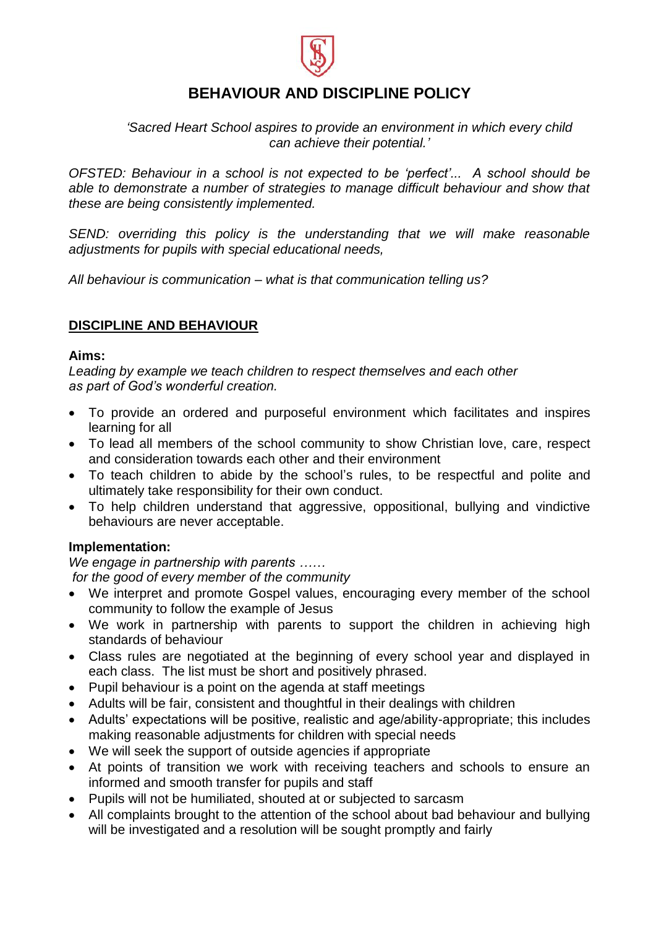

# **BEHAVIOUR AND DISCIPLINE POLICY**

*'Sacred Heart School aspires to provide an environment in which every child can achieve their potential.'*

*OFSTED: Behaviour in a school is not expected to be 'perfect'... A school should be able to demonstrate a number of strategies to manage difficult behaviour and show that these are being consistently implemented.*

SEND: overriding this policy is the understanding that we will make reasonable *adjustments for pupils with special educational needs,*

*All behaviour is communication – what is that communication telling us?*

# **DISCIPLINE AND BEHAVIOUR**

#### **Aims:**

*Leading by example we teach children to respect themselves and each other as part of God's wonderful creation.*

- To provide an ordered and purposeful environment which facilitates and inspires learning for all
- To lead all members of the school community to show Christian love, care, respect and consideration towards each other and their environment
- To teach children to abide by the school's rules, to be respectful and polite and ultimately take responsibility for their own conduct.
- To help children understand that aggressive, oppositional, bullying and vindictive behaviours are never acceptable.

# **Implementation:**

*We engage in partnership with parents ……*

*for the good of every member of the community*

- We interpret and promote Gospel values, encouraging every member of the school community to follow the example of Jesus
- We work in partnership with parents to support the children in achieving high standards of behaviour
- Class rules are negotiated at the beginning of every school year and displayed in each class. The list must be short and positively phrased.
- Pupil behaviour is a point on the agenda at staff meetings
- Adults will be fair, consistent and thoughtful in their dealings with children
- Adults' expectations will be positive, realistic and age/ability-appropriate; this includes making reasonable adjustments for children with special needs
- We will seek the support of outside agencies if appropriate
- At points of transition we work with receiving teachers and schools to ensure an informed and smooth transfer for pupils and staff
- Pupils will not be humiliated, shouted at or subjected to sarcasm
- All complaints brought to the attention of the school about bad behaviour and bullying will be investigated and a resolution will be sought promptly and fairly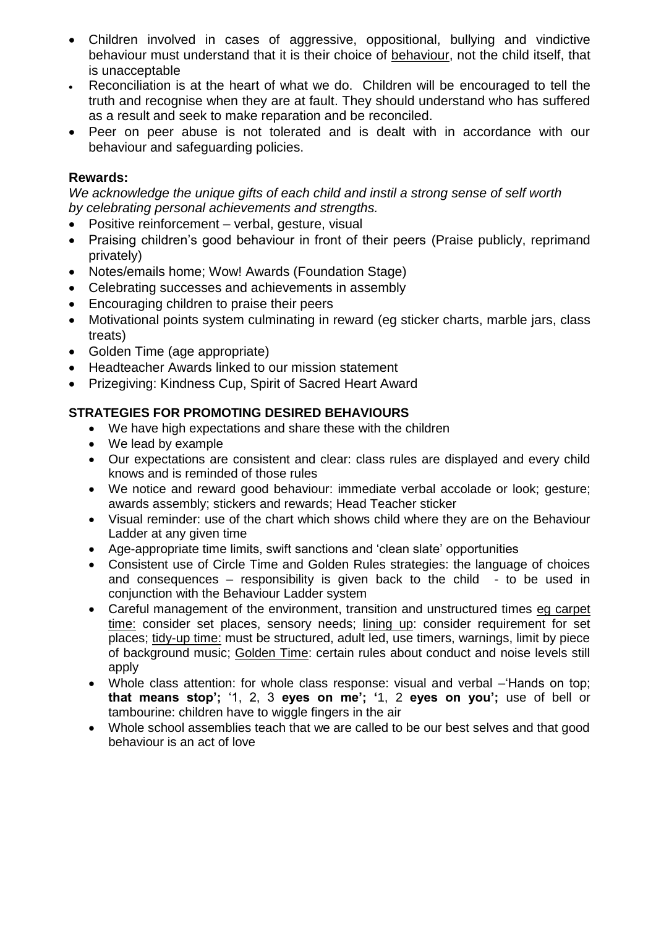- Children involved in cases of aggressive, oppositional, bullying and vindictive behaviour must understand that it is their choice of behaviour, not the child itself, that is unacceptable
- Reconciliation is at the heart of what we do. Children will be encouraged to tell the truth and recognise when they are at fault. They should understand who has suffered as a result and seek to make reparation and be reconciled.
- Peer on peer abuse is not tolerated and is dealt with in accordance with our behaviour and safeguarding policies.

# **Rewards:**

*We acknowledge the unique gifts of each child and instil a strong sense of self worth by celebrating personal achievements and strengths.*

- Positive reinforcement verbal, gesture, visual
- Praising children's good behaviour in front of their peers (Praise publicly, reprimand privately)
- Notes/emails home; Wow! Awards (Foundation Stage)
- Celebrating successes and achievements in assembly
- Encouraging children to praise their peers
- Motivational points system culminating in reward (eg sticker charts, marble jars, class treats)
- Golden Time (age appropriate)
- Headteacher Awards linked to our mission statement
- Prizegiving: Kindness Cup, Spirit of Sacred Heart Award

# **STRATEGIES FOR PROMOTING DESIRED BEHAVIOURS**

- We have high expectations and share these with the children
- We lead by example
- Our expectations are consistent and clear: class rules are displayed and every child knows and is reminded of those rules
- We notice and reward good behaviour: immediate verbal accolade or look; gesture; awards assembly; stickers and rewards; Head Teacher sticker
- Visual reminder: use of the chart which shows child where they are on the Behaviour Ladder at any given time
- Age-appropriate time limits, swift sanctions and 'clean slate' opportunities
- Consistent use of Circle Time and Golden Rules strategies: the language of choices and consequences – responsibility is given back to the child - to be used in conjunction with the Behaviour Ladder system
- Careful management of the environment, transition and unstructured times eg carpet time: consider set places, sensory needs; lining up: consider requirement for set places; tidy-up time: must be structured, adult led, use timers, warnings, limit by piece of background music; Golden Time: certain rules about conduct and noise levels still apply
- Whole class attention: for whole class response: visual and verbal –'Hands on top; **that means stop';** '1, 2, 3 **eyes on me'; '**1, 2 **eyes on you';** use of bell or tambourine: children have to wiggle fingers in the air
- Whole school assemblies teach that we are called to be our best selves and that good behaviour is an act of love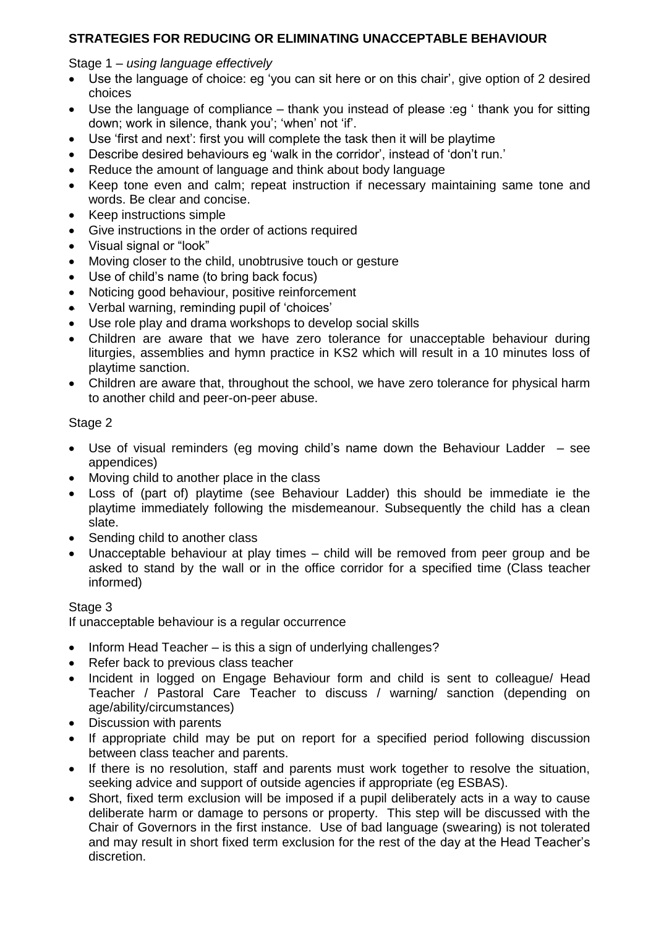# **STRATEGIES FOR REDUCING OR ELIMINATING UNACCEPTABLE BEHAVIOUR**

#### Stage 1 – *using language effectively*

- Use the language of choice: eg 'you can sit here or on this chair', give option of 2 desired choices
- Use the language of compliance thank you instead of please :eg ' thank you for sitting down; work in silence, thank you'; 'when' not 'if'.
- Use 'first and next': first you will complete the task then it will be playtime
- Describe desired behaviours eg 'walk in the corridor', instead of 'don't run.'
- Reduce the amount of language and think about body language
- Keep tone even and calm; repeat instruction if necessary maintaining same tone and words. Be clear and concise.
- Keep instructions simple
- Give instructions in the order of actions required
- Visual signal or "look"
- Moving closer to the child, unobtrusive touch or gesture
- Use of child's name (to bring back focus)
- Noticing good behaviour, positive reinforcement
- Verbal warning, reminding pupil of 'choices'
- Use role play and drama workshops to develop social skills
- Children are aware that we have zero tolerance for unacceptable behaviour during liturgies, assemblies and hymn practice in KS2 which will result in a 10 minutes loss of playtime sanction.
- Children are aware that, throughout the school, we have zero tolerance for physical harm to another child and peer-on-peer abuse.

# Stage 2

- Use of visual reminders (eg moving child's name down the Behaviour Ladder see appendices)
- Moving child to another place in the class
- Loss of (part of) playtime (see Behaviour Ladder) this should be immediate ie the playtime immediately following the misdemeanour. Subsequently the child has a clean slate.
- Sending child to another class
- Unacceptable behaviour at play times child will be removed from peer group and be asked to stand by the wall or in the office corridor for a specified time (Class teacher informed)

# Stage 3

If unacceptable behaviour is a regular occurrence

- $\bullet$  Inform Head Teacher is this a sign of underlying challenges?
- Refer back to previous class teacher
- Incident in logged on Engage Behaviour form and child is sent to colleague/ Head Teacher / Pastoral Care Teacher to discuss / warning/ sanction (depending on age/ability/circumstances)
- Discussion with parents
- If appropriate child may be put on report for a specified period following discussion between class teacher and parents.
- If there is no resolution, staff and parents must work together to resolve the situation, seeking advice and support of outside agencies if appropriate (eg ESBAS).
- Short, fixed term exclusion will be imposed if a pupil deliberately acts in a way to cause deliberate harm or damage to persons or property. This step will be discussed with the Chair of Governors in the first instance. Use of bad language (swearing) is not tolerated and may result in short fixed term exclusion for the rest of the day at the Head Teacher's discretion.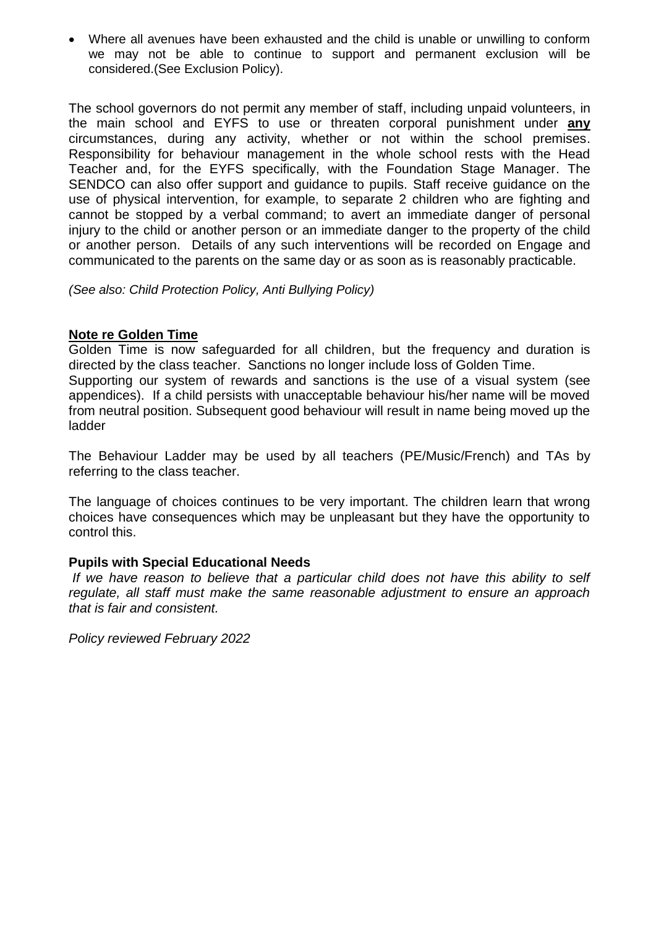Where all avenues have been exhausted and the child is unable or unwilling to conform we may not be able to continue to support and permanent exclusion will be considered.(See Exclusion Policy).

The school governors do not permit any member of staff, including unpaid volunteers, in the main school and EYFS to use or threaten corporal punishment under **any** circumstances, during any activity, whether or not within the school premises. Responsibility for behaviour management in the whole school rests with the Head Teacher and, for the EYFS specifically, with the Foundation Stage Manager. The SENDCO can also offer support and guidance to pupils. Staff receive guidance on the use of physical intervention, for example, to separate 2 children who are fighting and cannot be stopped by a verbal command; to avert an immediate danger of personal injury to the child or another person or an immediate danger to the property of the child or another person. Details of any such interventions will be recorded on Engage and communicated to the parents on the same day or as soon as is reasonably practicable.

*(See also: Child Protection Policy, Anti Bullying Policy)*

#### **Note re Golden Time**

Golden Time is now safeguarded for all children, but the frequency and duration is directed by the class teacher. Sanctions no longer include loss of Golden Time. Supporting our system of rewards and sanctions is the use of a visual system (see appendices). If a child persists with unacceptable behaviour his/her name will be moved from neutral position. Subsequent good behaviour will result in name being moved up the ladder

The Behaviour Ladder may be used by all teachers (PE/Music/French) and TAs by referring to the class teacher.

The language of choices continues to be very important. The children learn that wrong choices have consequences which may be unpleasant but they have the opportunity to control this.

#### **Pupils with Special Educational Needs**

*If we have reason to believe that a particular child does not have this ability to self regulate, all staff must make the same reasonable adjustment to ensure an approach that is fair and consistent.*

*Policy reviewed February 2022*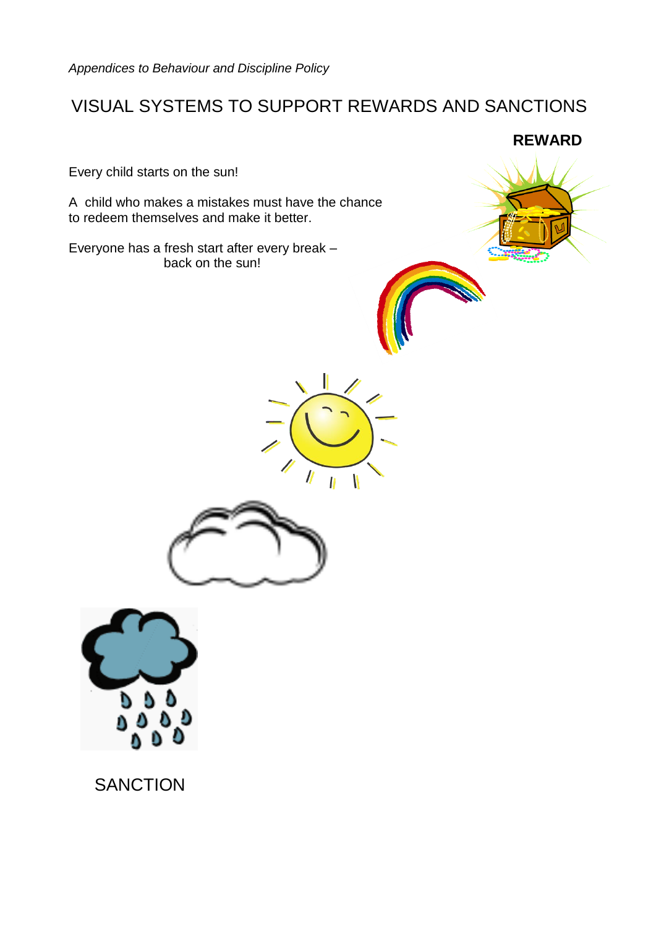# VISUAL SYSTEMS TO SUPPORT REWARDS AND SANCTIONS

Every child starts on the sun!

A child who makes a mistakes must have the chance to redeem themselves and make it better.

Everyone has a fresh start after every break – back on the sun!









**SANCTION**